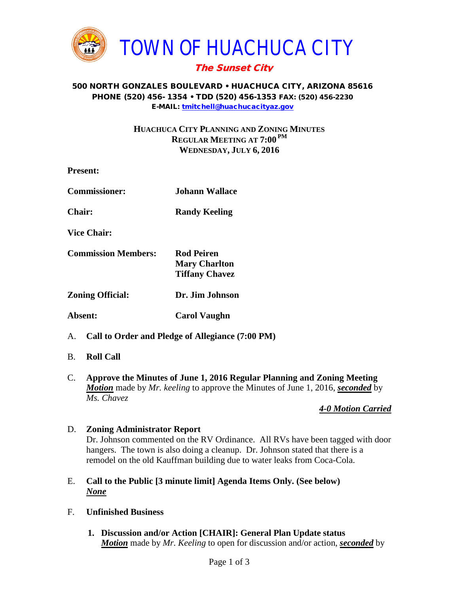

# The Sunset City

#### 500 NORTH GONZALES BOULEVARD • HUACHUCA CITY, ARIZONA 85616 PHONE (520) 456- 1354 • TDD (520) 456-1353 FAX: (520) 456-2230 E-MAIL: [tmitchell@huachucacityaz.gov](mailto:tmitchell@huachucacityaz.gov)

## **HUACHUCA CITY PLANNING AND ZONING MINUTES REGULAR MEETING AT 7:00 PM WEDNESDAY, JULY 6, 2016**

| <b>Present:</b>                                     |                                                                    |
|-----------------------------------------------------|--------------------------------------------------------------------|
| <b>Commissioner:</b>                                | Johann Wallace                                                     |
| <b>Chair:</b>                                       | <b>Randy Keeling</b>                                               |
| <b>Vice Chair:</b>                                  |                                                                    |
| <b>Commission Members:</b>                          | <b>Rod Peiren</b><br><b>Mary Charlton</b><br><b>Tiffany Chavez</b> |
| <b>Zoning Official:</b>                             | Dr. Jim Johnson                                                    |
| Absent:                                             | <b>Carol Vaughn</b>                                                |
| A. Call to Order and Pledge of Allegiance (7:00 PM) |                                                                    |

- B. **Roll Call**
- C. **Approve the Minutes of June 1, 2016 Regular Planning and Zoning Meeting** *Motion* made by *Mr. keeling* to approve the Minutes of June 1, 2016, *seconded* by *Ms. Chavez*

## *4-0 Motion Carried*

## D. **Zoning Administrator Report**

Dr. Johnson commented on the RV Ordinance. All RVs have been tagged with door hangers. The town is also doing a cleanup. Dr. Johnson stated that there is a remodel on the old Kauffman building due to water leaks from Coca-Cola.

- E. **Call to the Public [3 minute limit] Agenda Items Only. (See below)** *None*
- F. **Unfinished Business**
	- **1. Discussion and/or Action [CHAIR]: General Plan Update status** *Motion* made by *Mr. Keeling* to open for discussion and/or action, *seconded* by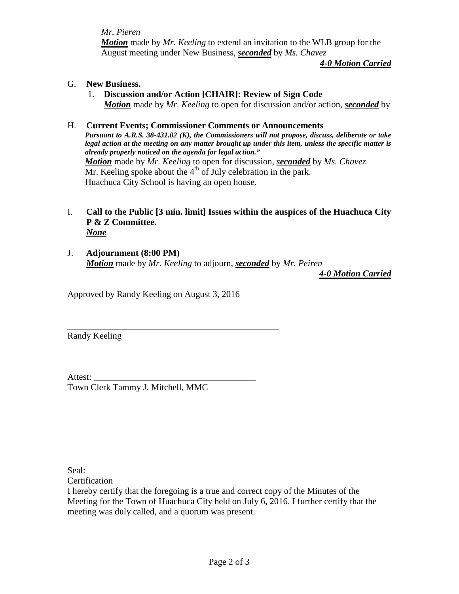*Mr. Pieren*

*Motion* made by *Mr. Keeling* to extend an invitation to the WLB group for the August meeting under New Business, *seconded* by *Ms. Chavez*

*4-0 Motion Carried*

- G. **New Business.**
	- 1. **Discussion and/or Action [CHAIR]: Review of Sign Code** *Motion* made by *Mr. Keeling* to open for discussion and/or action, *seconded* by

### H. **Current Events; Commissioner Comments or Announcements**

*Pursuant to A.R.S. 38-431.02 (K), the Commissioners will not propose, discuss, deliberate or take legal action at the meeting on any matter brought up under this item, unless the specific matter is already properly noticed on the agenda for legal action." Motion* made by *Mr. Keeling* to open for discussion, *seconded* by *Ms. Chavez* Mr. Keeling spoke about the  $4<sup>th</sup>$  of July celebration in the park. Huachuca City School is having an open house.

#### I. **Call to the Public [3 min. limit] Issues within the auspices of the Huachuca City P & Z Committee.** *None*

J. **Adjournment (8:00 PM)** *Motion* made by *Mr. Keeling* to adjourn, *seconded* by *Mr. Peiren*

*4-0 Motion Carried*

Approved by Randy Keeling on August 3, 2016

\_\_\_\_\_\_\_\_\_\_\_\_\_\_\_\_\_\_\_\_\_\_\_\_\_\_\_\_\_\_\_\_\_\_\_\_\_\_\_\_\_\_\_\_\_\_\_

Randy Keeling

Attest: Town Clerk Tammy J. Mitchell, MMC

Seal:

Certification

I hereby certify that the foregoing is a true and correct copy of the Minutes of the Meeting for the Town of Huachuca City held on July 6, 2016. I further certify that the meeting was duly called, and a quorum was present.